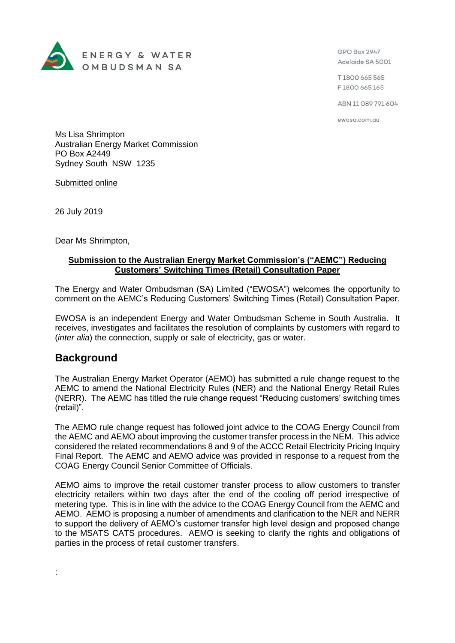

GPO Box 2947 Adelaide SA 5001

T1800 665 565 F1800 665 165

ABN 11 089 791 604

ewosa.com.au

Ms Lisa Shrimpton Australian Energy Market Commission PO Box A2449 Sydney South NSW 1235

Submitted online

26 July 2019

Dear Ms Shrimpton,

## **Submission to the Australian Energy Market Commission's ("AEMC") Reducing Customers' Switching Times (Retail) Consultation Paper**

The Energy and Water Ombudsman (SA) Limited ("EWOSA") welcomes the opportunity to comment on the AEMC's Reducing Customers' Switching Times (Retail) Consultation Paper.

EWOSA is an independent Energy and Water Ombudsman Scheme in South Australia. It receives, investigates and facilitates the resolution of complaints by customers with regard to (*inter alia*) the connection, supply or sale of electricity, gas or water.

## **Background**

:

The Australian Energy Market Operator (AEMO) has submitted a rule change request to the AEMC to amend the National Electricity Rules (NER) and the National Energy Retail Rules (NERR). The AEMC has titled the rule change request "Reducing customers' switching times (retail)".

The AEMO rule change request has followed joint advice to the COAG Energy Council from the AEMC and AEMO about improving the customer transfer process in the NEM. This advice considered the related recommendations 8 and 9 of the ACCC Retail Electricity Pricing Inquiry Final Report. The AEMC and AEMO advice was provided in response to a request from the COAG Energy Council Senior Committee of Officials.

AEMO aims to improve the retail customer transfer process to allow customers to transfer electricity retailers within two days after the end of the cooling off period irrespective of metering type. This is in line with the advice to the COAG Energy Council from the AEMC and AEMO. AEMO is proposing a number of amendments and clarification to the NER and NERR to support the delivery of AEMO's customer transfer high level design and proposed change to the MSATS CATS procedures. AEMO is seeking to clarify the rights and obligations of parties in the process of retail customer transfers.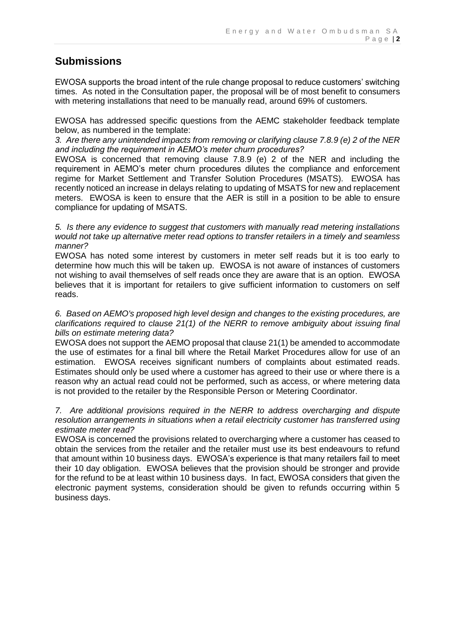## **Submissions**

EWOSA supports the broad intent of the rule change proposal to reduce customers' switching times. As noted in the Consultation paper, the proposal will be of most benefit to consumers with metering installations that need to be manually read, around 69% of customers.

EWOSA has addressed specific questions from the AEMC stakeholder feedback template below, as numbered in the template:

*3. Are there any unintended impacts from removing or clarifying clause 7.8.9 (e) 2 of the NER and including the requirement in AEMO's meter churn procedures?*

EWOSA is concerned that removing clause 7.8.9 (e) 2 of the NER and including the requirement in AEMO's meter churn procedures dilutes the compliance and enforcement regime for Market Settlement and Transfer Solution Procedures (MSATS). EWOSA has recently noticed an increase in delays relating to updating of MSATS for new and replacement meters. EWOSA is keen to ensure that the AER is still in a position to be able to ensure compliance for updating of MSATS.

*5. Is there any evidence to suggest that customers with manually read metering installations would not take up alternative meter read options to transfer retailers in a timely and seamless manner?*

EWOSA has noted some interest by customers in meter self reads but it is too early to determine how much this will be taken up. EWOSA is not aware of instances of customers not wishing to avail themselves of self reads once they are aware that is an option. EWOSA believes that it is important for retailers to give sufficient information to customers on self reads.

*6. Based on AEMO's proposed high level design and changes to the existing procedures, are clarifications required to clause 21(1) of the NERR to remove ambiguity about issuing final bills on estimate metering data?*

EWOSA does not support the AEMO proposal that clause 21(1) be amended to accommodate the use of estimates for a final bill where the Retail Market Procedures allow for use of an estimation. EWOSA receives significant numbers of complaints about estimated reads. Estimates should only be used where a customer has agreed to their use or where there is a reason why an actual read could not be performed, such as access, or where metering data is not provided to the retailer by the Responsible Person or Metering Coordinator.

## *7. Are additional provisions required in the NERR to address overcharging and dispute resolution arrangements in situations when a retail electricity customer has transferred using estimate meter read?*

EWOSA is concerned the provisions related to overcharging where a customer has ceased to obtain the services from the retailer and the retailer must use its best endeavours to refund that amount within 10 business days. EWOSA's experience is that many retailers fail to meet their 10 day obligation. EWOSA believes that the provision should be stronger and provide for the refund to be at least within 10 business days. In fact, EWOSA considers that given the electronic payment systems, consideration should be given to refunds occurring within 5 business days.